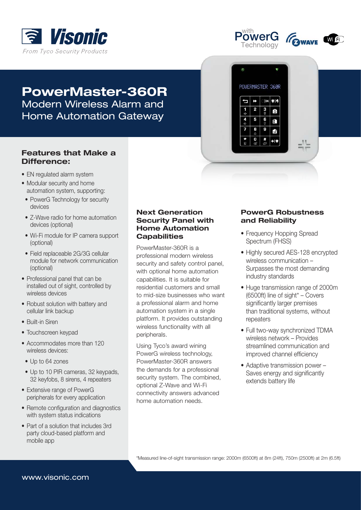



 $\ddot{\theta}$ 

đ

 $\frac{1}{4}$ 

 $\frac{4}{4}$ 5

POWERMASTER 360R

2  $3<sub>o</sub>$ 

 $\bf{0}$ 

 $|OK$  $\bullet$ <sub>1</sub>

 $\frac{6}{9}$ 

Ō

 $\mathbf{f}$ Ġ

 $+|\hat{v}|$ 



# PowerMaster-360R Modern Wireless Alarm and Home Automation Gateway

# **Features that Make a** Difference:

- EN regulated alarm system
- Modular security and home automation system, supporting:
- PowerG Technology for security devices
- Z-Wave radio for home automation devices (optional)
- Wi-Fi module for IP camera support (optional)
- Field replaceable 2G/3G cellular module for network communication (optional)
- Professional panel that can be installed out of sight, controlled by wireless devices
- Robust solution with battery and cellular link backup
- Built-in Siren
- Touchscreen keypad
- Accommodates more than 120 wireless devices:
	- Up to 64 zones
- Up to 10 PIR cameras, 32 keypads, 32 keyfobs, 8 sirens, 4 repeaters
- Extensive range of PowerG peripherals for every application
- Remote configuration and diagnostics with system status indications
- Part of a solution that includes 3rd party cloud-based platform and mobile app

#### **Next Generation Security Panel with Home Automation Capabilities**

PowerMaster-360R is a professional modern wireless security and safety control panel. with optional home automation capabilities. It is suitable for residential customers and small to mid-size businesses who want a professional alarm and home automation system in a single platform. It provides outstanding wireless functionality with all peripherals.

Using Tyco's award wining PowerG wireless technology, PowerMaster-360R answers the demands for a professional security system. The combined, optional Z-Wave and Wi-Fi connectivity answers advanced home automation needs.

#### **PowerG Robustness** and Reliability

- Frequency Hopping Spread Spectrum (FHSS)
- Highly secured AES-128 encrypted wireless communication -Surpasses the most demanding industry standards
- Huge transmission range of 2000m  $(6500ft)$  line of sight\* – Covers significantly larger premises than traditional systems, without repeaters
- Full two-way synchronized TDMA wireless network – Provides streamlined communication and improved channel efficiency
- $\bullet$  Adaptive transmission power  $-$ Saves energy and significantly extends battery life